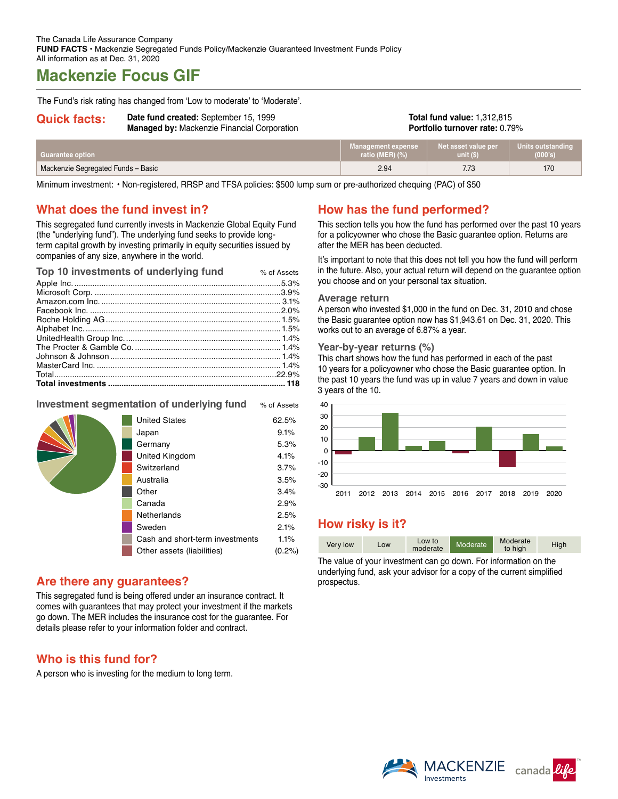# **Mackenzie Focus GIF**

The Fund's risk rating has changed from 'Low to moderate' to 'Moderate'.

|  | <b>Quick facts:</b> |
|--|---------------------|
|  |                     |

Date fund created: September 15, 1999 **Managed by:** Mackenzie Financial Corporation **Total fund value:** 1,312,815 **Portfolio turnover rate:** 0.79%

| Guarantee option                   | Management expense | Net asset value per | Units outstanding |
|------------------------------------|--------------------|---------------------|-------------------|
|                                    | ratio (MER) $(\%)$ | unit(S)             | (000's)           |
| Mackenzie Segregated Funds - Basic | 2.94               | 7.73                | 170               |

Minimum investment: • Non-registered, RRSP and TFSA policies: \$500 lump sum or pre-authorized chequing (PAC) of \$50

### **What does the fund invest in?**

This segregated fund currently invests in Mackenzie Global Equity Fund (the "underlying fund"). The underlying fund seeks to provide longterm capital growth by investing primarily in equity securities issued by companies of any size, anywhere in the world.

| Top 10 investments of underlying fund | % of Assets |
|---------------------------------------|-------------|
|                                       |             |
|                                       |             |
|                                       |             |
|                                       |             |
|                                       |             |
|                                       |             |
|                                       |             |
|                                       |             |
|                                       |             |
|                                       |             |
|                                       |             |
|                                       |             |

### **Investment segmentation of underlying fund** % of Assets

| <b>United States</b><br>Japan<br>Germany<br>United Kingdom<br>Switzerland<br>Australia<br>Other | 62.5%<br>9.1%<br>5.3%<br>4.1%<br>3.7%<br>3.5%<br>3.4% |
|-------------------------------------------------------------------------------------------------|-------------------------------------------------------|
|                                                                                                 |                                                       |
|                                                                                                 |                                                       |
| Canada                                                                                          | 2.9%                                                  |
| Netherlands                                                                                     | 2.5%                                                  |
| Sweden                                                                                          | 2.1%                                                  |
| Cash and short-term investments                                                                 | 1.1%                                                  |
| Other assets (liabilities)                                                                      | $(0.2\%)$                                             |

### **Are there any guarantees?**

This segregated fund is being offered under an insurance contract. It comes with guarantees that may protect your investment if the markets go down. The MER includes the insurance cost for the guarantee. For details please refer to your information folder and contract.

# **Who is this fund for?**

A person who is investing for the medium to long term.

# **How has the fund performed?**

This section tells you how the fund has performed over the past 10 years for a policyowner who chose the Basic guarantee option. Returns are after the MER has been deducted.

It's important to note that this does not tell you how the fund will perform in the future. Also, your actual return will depend on the guarantee option you choose and on your personal tax situation.

#### **Average return**

A person who invested \$1,000 in the fund on Dec. 31, 2010 and chose the Basic guarantee option now has \$1,943.61 on Dec. 31, 2020. This works out to an average of 6.87% a year.

#### **Year-by-year returns (%)**

This chart shows how the fund has performed in each of the past 10 years for a policyowner who chose the Basic guarantee option. In the past 10 years the fund was up in value 7 years and down in value 3 years of the 10.



# **How risky is it?**

| Very low | LOW | Low to<br>moderate | Moderate | Moderate<br>to high | High |
|----------|-----|--------------------|----------|---------------------|------|

The value of your investment can go down. For information on the underlying fund, ask your advisor for a copy of the current simplified prospectus.